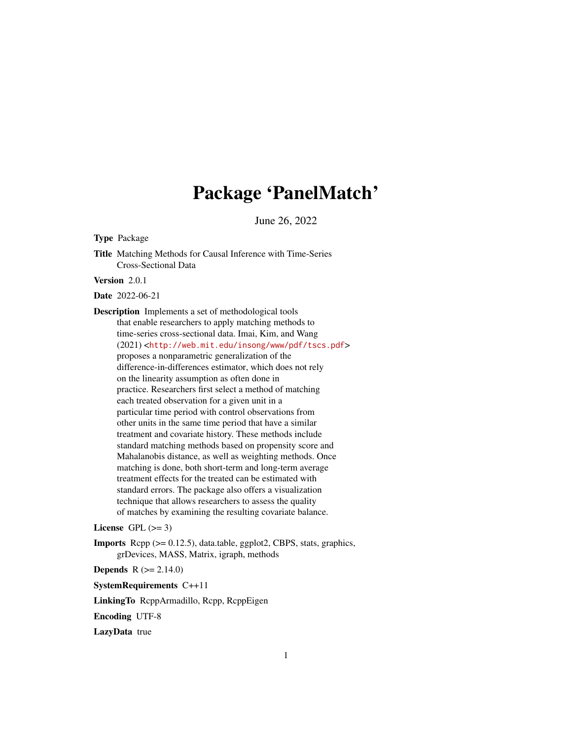# Package 'PanelMatch'

June 26, 2022

Type Package

Title Matching Methods for Causal Inference with Time-Series Cross-Sectional Data

Version 2.0.1

Date 2022-06-21

Description Implements a set of methodological tools that enable researchers to apply matching methods to time-series cross-sectional data. Imai, Kim, and Wang (2021) <<http://web.mit.edu/insong/www/pdf/tscs.pdf>> proposes a nonparametric generalization of the difference-in-differences estimator, which does not rely on the linearity assumption as often done in practice. Researchers first select a method of matching each treated observation for a given unit in a particular time period with control observations from other units in the same time period that have a similar treatment and covariate history. These methods include standard matching methods based on propensity score and Mahalanobis distance, as well as weighting methods. Once matching is done, both short-term and long-term average treatment effects for the treated can be estimated with standard errors. The package also offers a visualization technique that allows researchers to assess the quality of matches by examining the resulting covariate balance.

License GPL  $(>= 3)$ 

Imports Rcpp (>= 0.12.5), data.table, ggplot2, CBPS, stats, graphics, grDevices, MASS, Matrix, igraph, methods

**Depends** R  $(>= 2.14.0)$ 

SystemRequirements C++11

LinkingTo RcppArmadillo, Rcpp, RcppEigen

Encoding UTF-8

LazyData true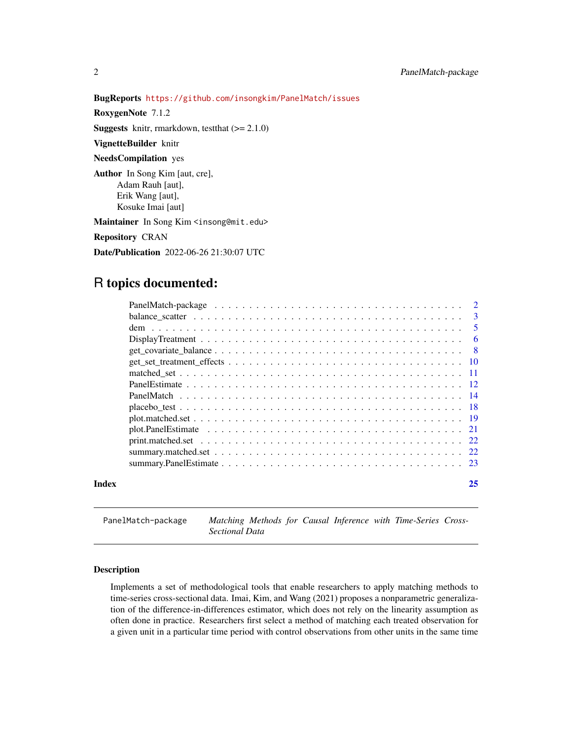#### BugReports <https://github.com/insongkim/PanelMatch/issues>

RoxygenNote 7.1.2

**Suggests** knitr, rmarkdown, test that  $(>= 2.1.0)$ 

VignetteBuilder knitr

NeedsCompilation yes

Author In Song Kim [aut, cre], Adam Rauh [aut], Erik Wang [aut], Kosuke Imai [aut]

Maintainer In Song Kim <insong@mit.edu>

Repository CRAN

Date/Publication 2022-06-26 21:30:07 UTC

## R topics documented:

|       | - 6 |
|-------|-----|
|       |     |
|       |     |
|       |     |
|       |     |
|       |     |
|       |     |
|       |     |
|       |     |
|       |     |
|       |     |
|       |     |
| Index | 25  |

PanelMatch-package *Matching Methods for Causal Inference with Time-Series Cross-Sectional Data*

#### Description

Implements a set of methodological tools that enable researchers to apply matching methods to time-series cross-sectional data. Imai, Kim, and Wang (2021) proposes a nonparametric generalization of the difference-in-differences estimator, which does not rely on the linearity assumption as often done in practice. Researchers first select a method of matching each treated observation for a given unit in a particular time period with control observations from other units in the same time

<span id="page-1-0"></span>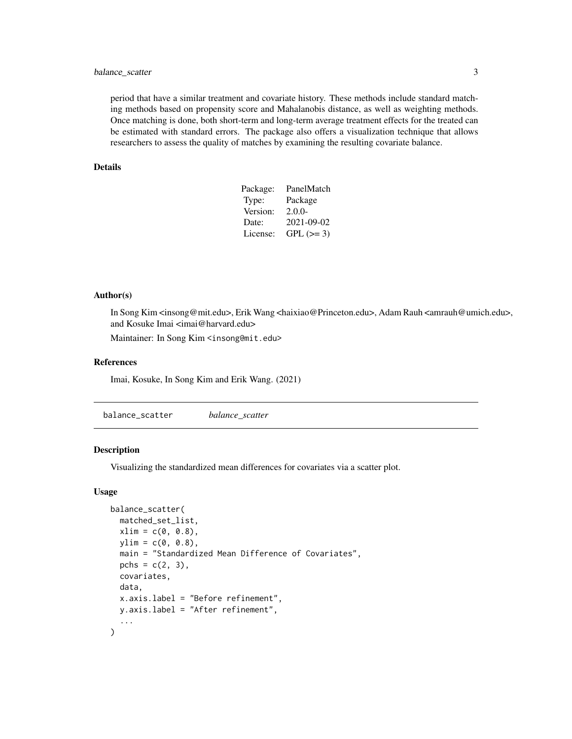#### <span id="page-2-0"></span>balance\_scatter 3

period that have a similar treatment and covariate history. These methods include standard matching methods based on propensity score and Mahalanobis distance, as well as weighting methods. Once matching is done, both short-term and long-term average treatment effects for the treated can be estimated with standard errors. The package also offers a visualization technique that allows researchers to assess the quality of matches by examining the resulting covariate balance.

#### Details

| PanelMatch |
|------------|
| Package    |
| $2.0.0-$   |
| 2021-09-02 |
| $GPL (=3)$ |
|            |

#### Author(s)

In Song Kim <insong@mit.edu>, Erik Wang <haixiao@Princeton.edu>, Adam Rauh <amrauh@umich.edu>, and Kosuke Imai <imai@harvard.edu>

Maintainer: In Song Kim <insong@mit.edu>

#### References

Imai, Kosuke, In Song Kim and Erik Wang. (2021)

balance\_scatter *balance\_scatter*

#### Description

Visualizing the standardized mean differences for covariates via a scatter plot.

#### Usage

```
balance_scatter(
 matched_set_list,
 xlim = c(0, 0.8),ylim = c(0, 0.8),main = "Standardized Mean Difference of Covariates",
 pchs = c(2, 3),covariates,
 data,
 x.axis.label = "Before refinement",
 y.axis.label = "After refinement",
  ...
)
```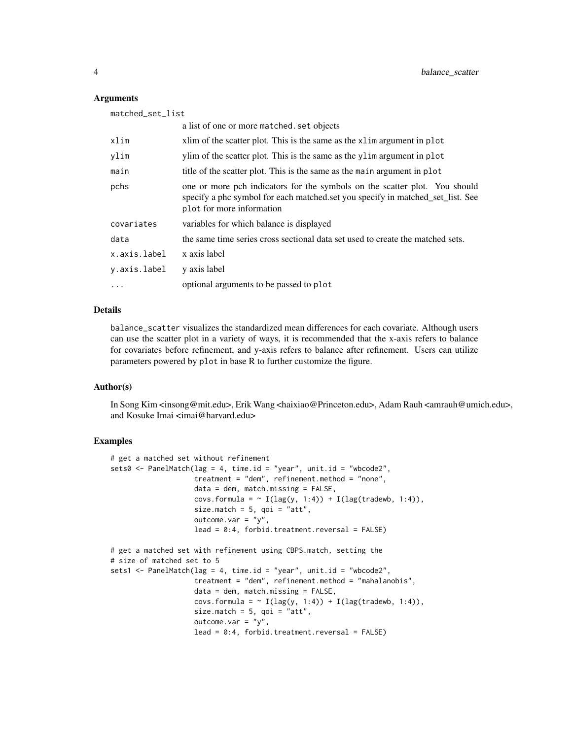#### **Arguments**

| matched_set_list |                                                                                                                                                                                           |
|------------------|-------------------------------------------------------------------------------------------------------------------------------------------------------------------------------------------|
|                  | a list of one or more matched. set objects                                                                                                                                                |
| xlim             | xlim of the scatter plot. This is the same as the xlim argument in plot                                                                                                                   |
| ylim             | ylim of the scatter plot. This is the same as the ylim argument in plot                                                                                                                   |
| main             | title of the scatter plot. This is the same as the main argument in plot.                                                                                                                 |
| pchs             | one or more pch indicators for the symbols on the scatter plot. You should<br>specify a phc symbol for each matched.set you specify in matched_set_list. See<br>plot for more information |
| covariates       | variables for which balance is displayed                                                                                                                                                  |
| data             | the same time series cross sectional data set used to create the matched sets.                                                                                                            |
| x.axis.label     | x axis label                                                                                                                                                                              |
| y.axis.label     | y axis label                                                                                                                                                                              |
| $\cdots$         | optional arguments to be passed to plot                                                                                                                                                   |

#### Details

balance\_scatter visualizes the standardized mean differences for each covariate. Although users can use the scatter plot in a variety of ways, it is recommended that the x-axis refers to balance for covariates before refinement, and y-axis refers to balance after refinement. Users can utilize parameters powered by plot in base R to further customize the figure.

#### Author(s)

In Song Kim <insong@mit.edu>, Erik Wang <haixiao@Princeton.edu>, Adam Rauh <amrauh@umich.edu>, and Kosuke Imai <imai@harvard.edu>

```
# get a matched set without refinement
sets0 <- PanelMatch(lag = 4, time.id = "year", unit.id = "wbcode2",
                    treatment = "dem", refinement.method = "none",
                    data = dem, match.missing = FALSE,
                    covs.formula = \sim I(lag(y, 1:4)) + I(lag(tradewb, 1:4)),
                    size.match = 5, goi = "att",
                    outcome.var = "y",
                    lead = 0:4, forbid.treatment.reversal = FALSE)
# get a matched set with refinement using CBPS.match, setting the
# size of matched set to 5
sets1 <- PanelMatch(lag = 4, time.id = "year", unit.id = "wbcode2",
                    treatment = "dem", refinement.method = "mahalanobis",
                    data = dem, match.missing = FALSE,covs.formula = \sim I(lag(y, 1:4)) + I(lag(tradewb, 1:4)),
                    size.match = 5, qoi = "att",
                    outcome.var = "y",
                    lead = 0:4, forbid.treatment.reversal = FALSE)
```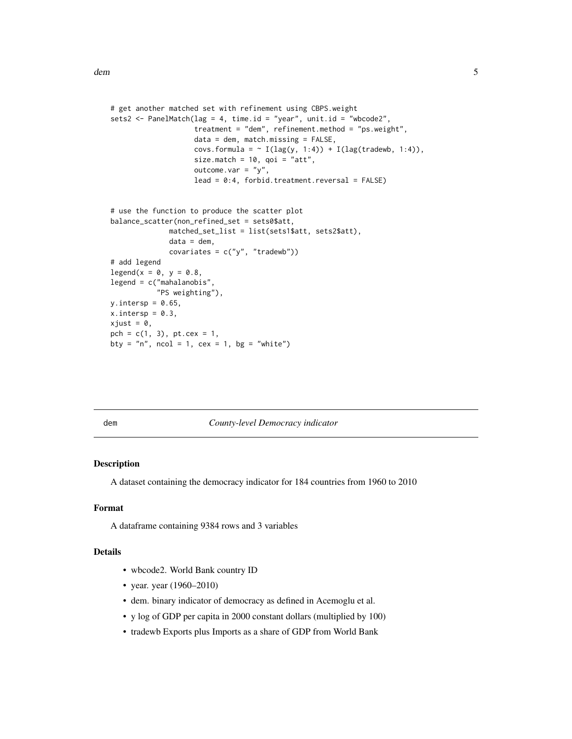```
# get another matched set with refinement using CBPS.weight
sets2 <- PanelMatch(lag = 4, time.id = "year", unit.id = "wbcode2",
                    treatment = "dem", refinement.method = "ps.weight",
                    data = dem, match.missing = FALSE,
                    covs.formula = \sim I(lag(y, 1:4)) + I(lag(tradewb, 1:4)),
                    size.match = 10, qoi = "att",
                    outcome.var = "y",
                    lead = 0:4, forbid.treatment.reversal = FALSE)
# use the function to produce the scatter plot
balance_scatter(non_refined_set = sets0$att,
              matched_set_list = list(sets1$att, sets2$att),
              data = dem,covariates = c("y", "tradewb")# add legend
legend(x = 0, y = 0.8,legend = c("mahalanobis",
           "PS weighting"),
y.intersp = 0.65,
x.intersp = 0.3,
xjust = 0,pch = c(1, 3), pt. cex = 1,bty = "n", ncol = 1, cex = 1, bg = "white")
```
dem *County-level Democracy indicator*

#### Description

A dataset containing the democracy indicator for 184 countries from 1960 to 2010

#### Format

A dataframe containing 9384 rows and 3 variables

#### Details

- wbcode2. World Bank country ID
- year. year (1960–2010)
- dem. binary indicator of democracy as defined in Acemoglu et al.
- y log of GDP per capita in 2000 constant dollars (multiplied by 100)
- tradewb Exports plus Imports as a share of GDP from World Bank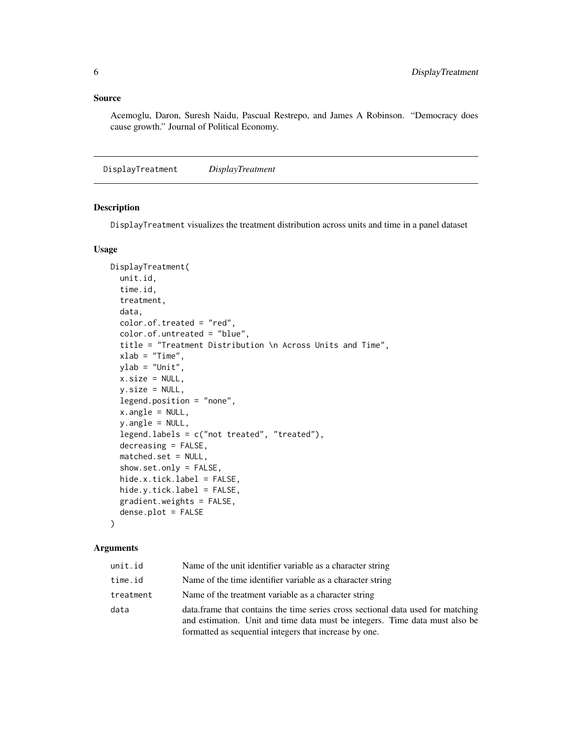#### <span id="page-5-0"></span>Source

Acemoglu, Daron, Suresh Naidu, Pascual Restrepo, and James A Robinson. "Democracy does cause growth." Journal of Political Economy.

DisplayTreatment *DisplayTreatment*

#### Description

DisplayTreatment visualizes the treatment distribution across units and time in a panel dataset

#### Usage

```
DisplayTreatment(
  unit.id,
  time.id,
  treatment,
  data,
  color.of.treated = "red",
  color.of.untreated = "blue",
  title = "Treatment Distribution \n Across Units and Time",
  xlab = "Time",ylab = "Unit",
  x.size = NULL,y.size = NULL,
  legend.position = "none",
  x.angle = NULL,
  y.angle = NULL,
  legend.labels = c("not treated", "treated"),
  decreasing = FALSE,
  matched.set = NULL,
  show.set.only = FALSE,
  hide.x.tick.label = FALSE,
  hide.y.tick.label = FALSE,
  gradient.weights = FALSE,
  dense.plot = FALSE
```
#### )

#### Arguments

| unit.id   | Name of the unit identifier variable as a character string                                                                                                                                                                |
|-----------|---------------------------------------------------------------------------------------------------------------------------------------------------------------------------------------------------------------------------|
| time.id   | Name of the time identifier variable as a character string                                                                                                                                                                |
| treatment | Name of the treatment variable as a character string                                                                                                                                                                      |
| data      | data. frame that contains the time series cross sectional data used for matching<br>and estimation. Unit and time data must be integers. Time data must also be<br>formatted as sequential integers that increase by one. |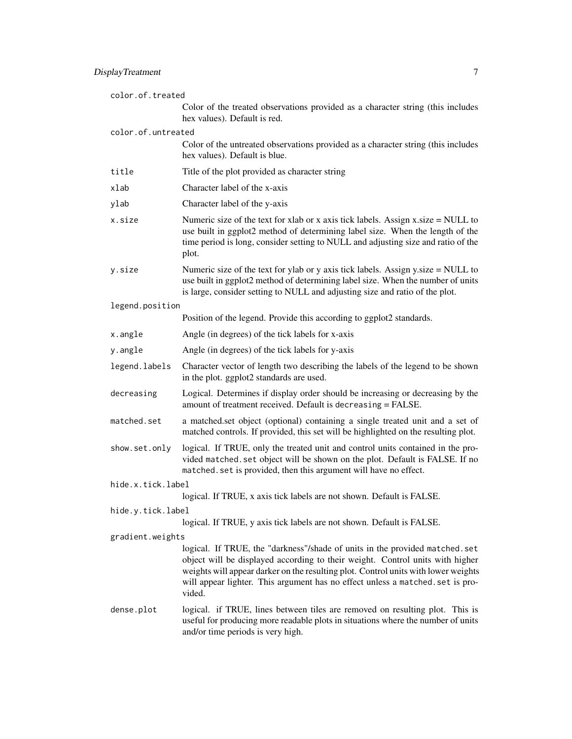| color.of.treated   |                                                                                                                                                                                                                                                                                                                                                |  |
|--------------------|------------------------------------------------------------------------------------------------------------------------------------------------------------------------------------------------------------------------------------------------------------------------------------------------------------------------------------------------|--|
|                    | Color of the treated observations provided as a character string (this includes<br>hex values). Default is red.                                                                                                                                                                                                                                |  |
| color.of.untreated |                                                                                                                                                                                                                                                                                                                                                |  |
|                    | Color of the untreated observations provided as a character string (this includes<br>hex values). Default is blue.                                                                                                                                                                                                                             |  |
| title              | Title of the plot provided as character string                                                                                                                                                                                                                                                                                                 |  |
| xlab               | Character label of the x-axis                                                                                                                                                                                                                                                                                                                  |  |
| ylab               | Character label of the y-axis                                                                                                                                                                                                                                                                                                                  |  |
| x.size             | Numeric size of the text for xlab or x axis tick labels. Assign $x.size = NULL$ to<br>use built in ggplot2 method of determining label size. When the length of the<br>time period is long, consider setting to NULL and adjusting size and ratio of the<br>plot.                                                                              |  |
| y.size             | Numeric size of the text for ylab or y axis tick labels. Assign y.size $=$ NULL to<br>use built in ggplot2 method of determining label size. When the number of units<br>is large, consider setting to NULL and adjusting size and ratio of the plot.                                                                                          |  |
| legend.position    |                                                                                                                                                                                                                                                                                                                                                |  |
|                    | Position of the legend. Provide this according to ggplot2 standards.                                                                                                                                                                                                                                                                           |  |
| x.angle            | Angle (in degrees) of the tick labels for x-axis                                                                                                                                                                                                                                                                                               |  |
| y.angle            | Angle (in degrees) of the tick labels for y-axis                                                                                                                                                                                                                                                                                               |  |
| legend.labels      | Character vector of length two describing the labels of the legend to be shown<br>in the plot. ggplot2 standards are used.                                                                                                                                                                                                                     |  |
| decreasing         | Logical. Determines if display order should be increasing or decreasing by the<br>amount of treatment received. Default is decreasing = FALSE.                                                                                                                                                                                                 |  |
| matched.set        | a matched.set object (optional) containing a single treated unit and a set of<br>matched controls. If provided, this set will be highlighted on the resulting plot.                                                                                                                                                                            |  |
| show.set.only      | logical. If TRUE, only the treated unit and control units contained in the pro-<br>vided matched. set object will be shown on the plot. Default is FALSE. If no<br>matched. set is provided, then this argument will have no effect.                                                                                                           |  |
| hide.x.tick.label  |                                                                                                                                                                                                                                                                                                                                                |  |
|                    | logical. If TRUE, x axis tick labels are not shown. Default is FALSE.                                                                                                                                                                                                                                                                          |  |
| hide.y.tick.label  |                                                                                                                                                                                                                                                                                                                                                |  |
| gradient.weights   | logical. If TRUE, y axis tick labels are not shown. Default is FALSE.                                                                                                                                                                                                                                                                          |  |
|                    | logical. If TRUE, the "darkness"/shade of units in the provided matched.set<br>object will be displayed according to their weight. Control units with higher<br>weights will appear darker on the resulting plot. Control units with lower weights<br>will appear lighter. This argument has no effect unless a matched. set is pro-<br>vided. |  |
| dense.plot         | logical. if TRUE, lines between tiles are removed on resulting plot. This is<br>useful for producing more readable plots in situations where the number of units<br>and/or time periods is very high.                                                                                                                                          |  |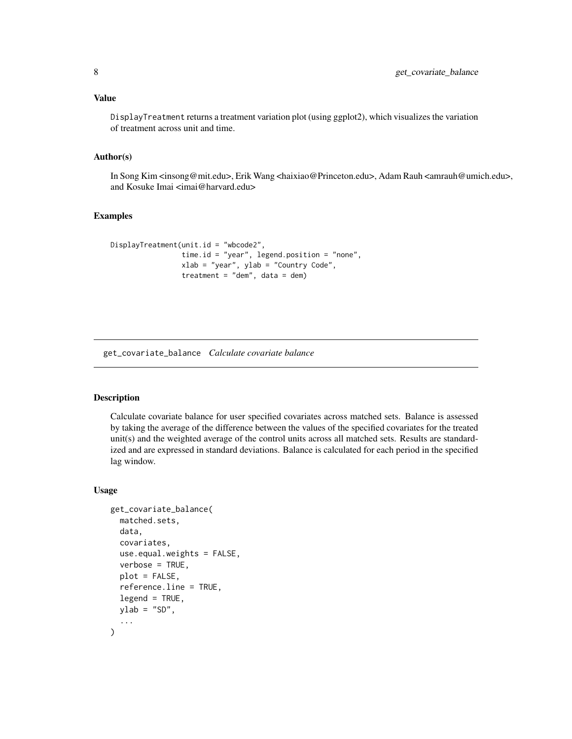#### <span id="page-7-0"></span>Value

DisplayTreatment returns a treatment variation plot (using ggplot2), which visualizes the variation of treatment across unit and time.

#### Author(s)

In Song Kim <insong@mit.edu>, Erik Wang <haixiao@Princeton.edu>, Adam Rauh <amrauh@umich.edu>, and Kosuke Imai <imai@harvard.edu>

#### Examples

```
DisplayTreatment(unit.id = "wbcode2",
                 time.id = "year", legend.position = "none",
                 xlab = "year", ylab = "Country Code",
                 treatment = "dem", data = dem)
```
get\_covariate\_balance *Calculate covariate balance*

#### Description

Calculate covariate balance for user specified covariates across matched sets. Balance is assessed by taking the average of the difference between the values of the specified covariates for the treated unit(s) and the weighted average of the control units across all matched sets. Results are standardized and are expressed in standard deviations. Balance is calculated for each period in the specified lag window.

#### Usage

```
get_covariate_balance(
  matched.sets,
  data,
  covariates,
  use.equal.weights = FALSE,
  verbose = TRUE,
  plot = FALSE,
  reference.line = TRUE,
  legend = TRUE,
  ylab = "SD",...
)
```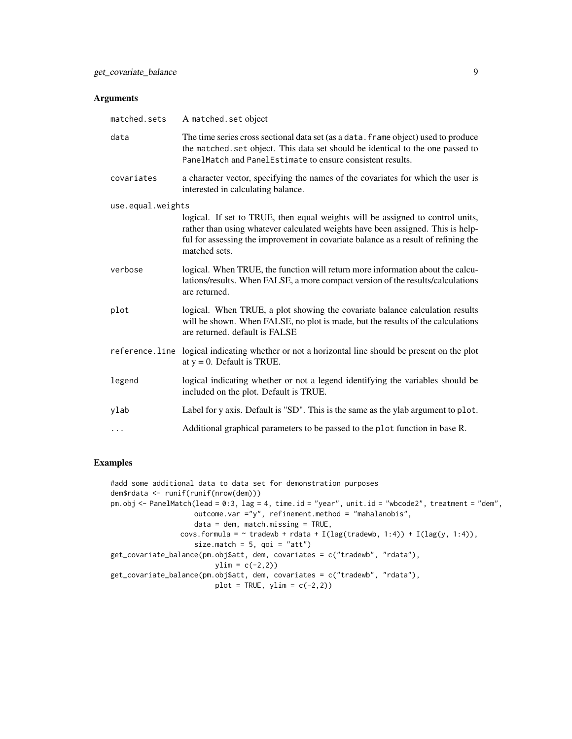#### Arguments

| matched.sets      | A matched.set object                                                                                                                                                                                                                                                     |
|-------------------|--------------------------------------------------------------------------------------------------------------------------------------------------------------------------------------------------------------------------------------------------------------------------|
| data              | The time series cross sectional data set (as a data. frame object) used to produce<br>the matched. set object. This data set should be identical to the one passed to<br>PanelMatch and PanelEstimate to ensure consistent results.                                      |
| covariates        | a character vector, specifying the names of the covariates for which the user is<br>interested in calculating balance.                                                                                                                                                   |
| use.equal.weights |                                                                                                                                                                                                                                                                          |
|                   | logical. If set to TRUE, then equal weights will be assigned to control units,<br>rather than using whatever calculated weights have been assigned. This is help-<br>ful for assessing the improvement in covariate balance as a result of refining the<br>matched sets. |
| verbose           | logical. When TRUE, the function will return more information about the calcu-<br>lations/results. When FALSE, a more compact version of the results/calculations<br>are returned.                                                                                       |
| plot              | logical. When TRUE, a plot showing the covariate balance calculation results<br>will be shown. When FALSE, no plot is made, but the results of the calculations<br>are returned. default is FALSE                                                                        |
|                   | reference. line logical indicating whether or not a horizontal line should be present on the plot<br>at $y = 0$ . Default is TRUE.                                                                                                                                       |
| legend            | logical indicating whether or not a legend identifying the variables should be<br>included on the plot. Default is TRUE.                                                                                                                                                 |
| ylab              | Label for y axis. Default is "SD". This is the same as the ylab argument to plot.                                                                                                                                                                                        |
| $\ddots$          | Additional graphical parameters to be passed to the plot function in base R.                                                                                                                                                                                             |

#### Examples

#add some additional data to data set for demonstration purposes dem\$rdata <- runif(runif(nrow(dem))) pm.obj <- PanelMatch(lead = 0:3, lag = 4, time.id = "year", unit.id = "wbcode2", treatment = "dem", outcome.var ="y", refinement.method = "mahalanobis", data = dem, match.missing = TRUE, covs.formula =  $\sim$  tradewb + rdata + I(lag(tradewb, 1:4)) + I(lag(y, 1:4)), size.match =  $5$ , qoi = "att") get\_covariate\_balance(pm.obj\$att, dem, covariates = c("tradewb", "rdata"),  $ylim = c(-2,2)$ get\_covariate\_balance(pm.obj\$att, dem, covariates = c("tradewb", "rdata"),  $plot = TRUE, ylim = c(-2,2))$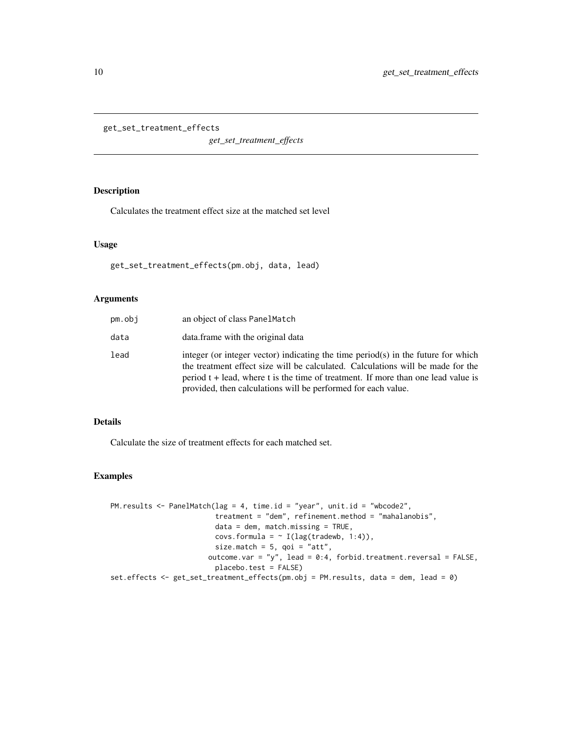<span id="page-9-0"></span>get\_set\_treatment\_effects

*get\_set\_treatment\_effects*

#### Description

Calculates the treatment effect size at the matched set level

#### Usage

get\_set\_treatment\_effects(pm.obj, data, lead)

#### Arguments

| pm.obj | an object of class PanelMatch                                                                                                                                                                                                                                                                                                |
|--------|------------------------------------------------------------------------------------------------------------------------------------------------------------------------------------------------------------------------------------------------------------------------------------------------------------------------------|
| data   | data.frame with the original data                                                                                                                                                                                                                                                                                            |
| lead   | integer (or integer vector) indicating the time period(s) in the future for which<br>the treatment effect size will be calculated. Calculations will be made for the<br>period $t +$ lead, where t is the time of treatment. If more than one lead value is<br>provided, then calculations will be performed for each value. |

#### Details

Calculate the size of treatment effects for each matched set.

```
PM.results <- PanelMatch(lag = 4, time.id = "year", unit.id = "wbcode2",
                         treatment = "dem", refinement.method = "mahalanobis",
                         data = dem, match.missing = TRUE,
                         covs.formula = ~ I(lag(tradewb, 1:4)),size.match = 5, qoi = "att",
                       outcome.var = "y", lead = 0:4, forbid.treatment.reversal = FALSE,
                         placebo.test = FALSE)
set.effects <- get_set_treatment_effects(pm.obj = PM.results, data = dem, lead = 0)
```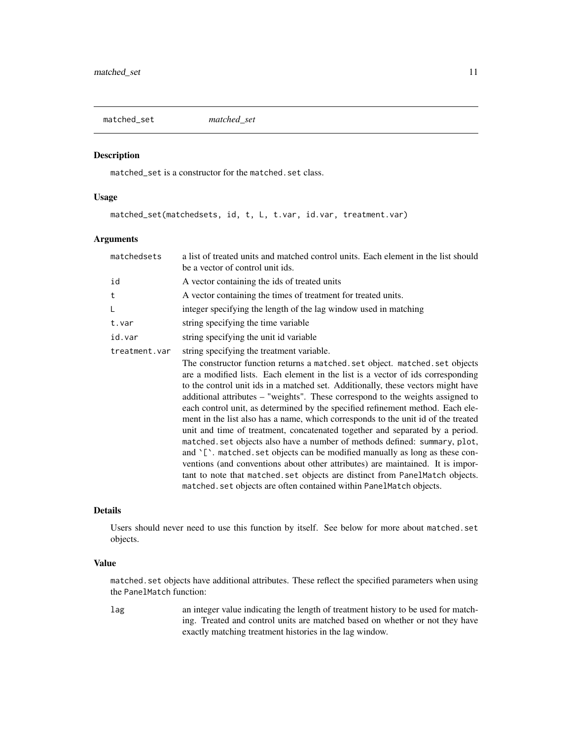<span id="page-10-0"></span>matched\_set *matched\_set*

#### Description

matched\_set is a constructor for the matched.set class.

#### Usage

matched\_set(matchedsets, id, t, L, t.var, id.var, treatment.var)

#### Arguments

| matchedsets   | a list of treated units and matched control units. Each element in the list should<br>be a vector of control unit ids.                                                                                                                                                                                                                                                                                                                                                                                                                                                                                                                                                                                                                                                                                                                                                                                                                                                                             |
|---------------|----------------------------------------------------------------------------------------------------------------------------------------------------------------------------------------------------------------------------------------------------------------------------------------------------------------------------------------------------------------------------------------------------------------------------------------------------------------------------------------------------------------------------------------------------------------------------------------------------------------------------------------------------------------------------------------------------------------------------------------------------------------------------------------------------------------------------------------------------------------------------------------------------------------------------------------------------------------------------------------------------|
| id            | A vector containing the ids of treated units                                                                                                                                                                                                                                                                                                                                                                                                                                                                                                                                                                                                                                                                                                                                                                                                                                                                                                                                                       |
| t             | A vector containing the times of treatment for treated units.                                                                                                                                                                                                                                                                                                                                                                                                                                                                                                                                                                                                                                                                                                                                                                                                                                                                                                                                      |
| L             | integer specifying the length of the lag window used in matching                                                                                                                                                                                                                                                                                                                                                                                                                                                                                                                                                                                                                                                                                                                                                                                                                                                                                                                                   |
| t.var         | string specifying the time variable                                                                                                                                                                                                                                                                                                                                                                                                                                                                                                                                                                                                                                                                                                                                                                                                                                                                                                                                                                |
| id.var        | string specifying the unit id variable                                                                                                                                                                                                                                                                                                                                                                                                                                                                                                                                                                                                                                                                                                                                                                                                                                                                                                                                                             |
| treatment.var | string specifying the treatment variable.                                                                                                                                                                                                                                                                                                                                                                                                                                                                                                                                                                                                                                                                                                                                                                                                                                                                                                                                                          |
|               | The constructor function returns a matched. set object. matched. set objects<br>are a modified lists. Each element in the list is a vector of ids corresponding<br>to the control unit ids in a matched set. Additionally, these vectors might have<br>additional attributes – "weights". These correspond to the weights assigned to<br>each control unit, as determined by the specified refinement method. Each ele-<br>ment in the list also has a name, which corresponds to the unit id of the treated<br>unit and time of treatment, concatenated together and separated by a period.<br>matched. set objects also have a number of methods defined: summary, plot,<br>and '['. matched. set objects can be modified manually as long as these con-<br>ventions (and conventions about other attributes) are maintained. It is impor-<br>tant to note that matched set objects are distinct from PanelMatch objects.<br>matched. set objects are often contained within PanelMatch objects. |

#### Details

Users should never need to use this function by itself. See below for more about matched.set objects.

#### Value

matched.set objects have additional attributes. These reflect the specified parameters when using the PanelMatch function:

lag an integer value indicating the length of treatment history to be used for matching. Treated and control units are matched based on whether or not they have exactly matching treatment histories in the lag window.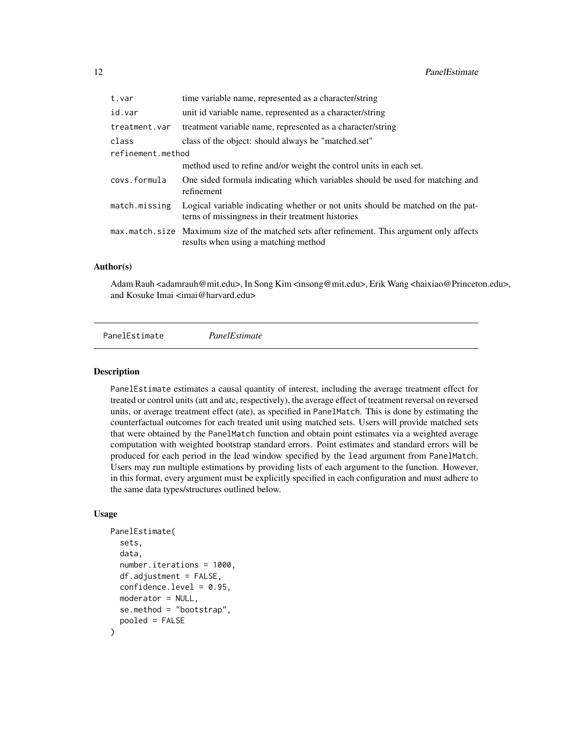<span id="page-11-0"></span>

| t.var             | time variable name, represented as a character/string                                                                                |  |
|-------------------|--------------------------------------------------------------------------------------------------------------------------------------|--|
| id.var            | unit id variable name, represented as a character/string                                                                             |  |
| treatment.var     | treatment variable name, represented as a character/string                                                                           |  |
| class             | class of the object: should always be "matched.set"                                                                                  |  |
| refinement.method |                                                                                                                                      |  |
|                   | method used to refine and/or weight the control units in each set.                                                                   |  |
| covs.formula      | One sided formula indicating which variables should be used for matching and<br>refinement                                           |  |
| match.missing     | Logical variable indicating whether or not units should be matched on the pat-<br>terns of missingness in their treatment histories  |  |
|                   | max.match.size Maximum size of the matched sets after refinement. This argument only affects<br>results when using a matching method |  |

#### Author(s)

Adam Rauh <adamrauh@mit.edu>, In Song Kim <insong@mit.edu>, Erik Wang <haixiao@Princeton.edu>, and Kosuke Imai <imai@harvard.edu>

PanelEstimate *PanelEstimate*

#### **Description**

PanelEstimate estimates a causal quantity of interest, including the average treatment effect for treated or control units (att and atc, respectively), the average effect of treatment reversal on reversed units, or average treatment effect (ate), as specified in PanelMatch. This is done by estimating the counterfactual outcomes for each treated unit using matched sets. Users will provide matched sets that were obtained by the PanelMatch function and obtain point estimates via a weighted average computation with weighted bootstrap standard errors. Point estimates and standard errors will be produced for each period in the lead window specified by the lead argument from PanelMatch. Users may run multiple estimations by providing lists of each argument to the function. However, in this format, every argument must be explicitly specified in each configuration and must adhere to the same data types/structures outlined below.

#### Usage

```
PanelEstimate(
  sets,
  data,
  number.iterations = 1000,
  df.addjustment = FALSE,
  confidence.level = 0.95,
  moderator = NULL,
  se.method = "bootstrap",
  pooled = FALSE
)
```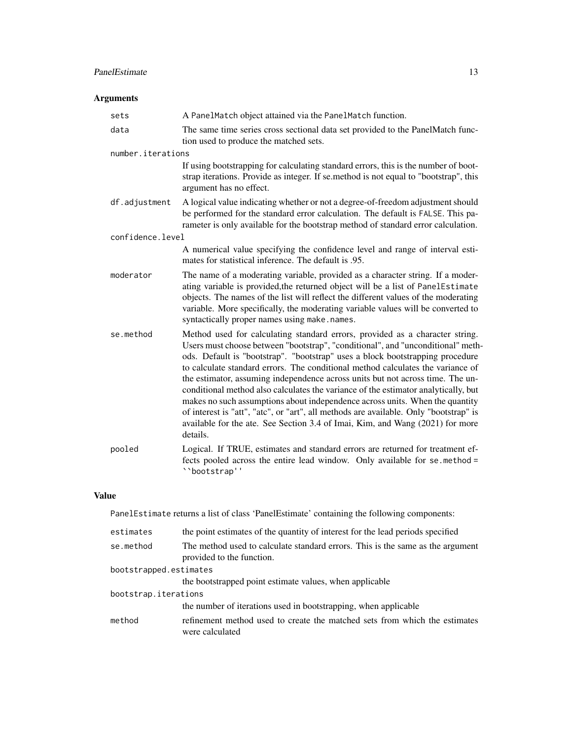#### PanelEstimate 13

### Arguments

| sets              | A PanelMatch object attained via the PanelMatch function.                                                                                                                                                                                                                                                                                                                                                                                                                                                                                                                                                                                                                                                                                                                         |
|-------------------|-----------------------------------------------------------------------------------------------------------------------------------------------------------------------------------------------------------------------------------------------------------------------------------------------------------------------------------------------------------------------------------------------------------------------------------------------------------------------------------------------------------------------------------------------------------------------------------------------------------------------------------------------------------------------------------------------------------------------------------------------------------------------------------|
| data              | The same time series cross sectional data set provided to the PanelMatch func-<br>tion used to produce the matched sets.                                                                                                                                                                                                                                                                                                                                                                                                                                                                                                                                                                                                                                                          |
| number.iterations |                                                                                                                                                                                                                                                                                                                                                                                                                                                                                                                                                                                                                                                                                                                                                                                   |
|                   | If using bootstrapping for calculating standard errors, this is the number of boot-<br>strap iterations. Provide as integer. If se method is not equal to "bootstrap", this<br>argument has no effect.                                                                                                                                                                                                                                                                                                                                                                                                                                                                                                                                                                            |
| df.adjustment     | A logical value indicating whether or not a degree-of-freedom adjustment should<br>be performed for the standard error calculation. The default is FALSE. This pa-<br>rameter is only available for the bootstrap method of standard error calculation.                                                                                                                                                                                                                                                                                                                                                                                                                                                                                                                           |
| confidence.level  |                                                                                                                                                                                                                                                                                                                                                                                                                                                                                                                                                                                                                                                                                                                                                                                   |
|                   | A numerical value specifying the confidence level and range of interval esti-<br>mates for statistical inference. The default is .95.                                                                                                                                                                                                                                                                                                                                                                                                                                                                                                                                                                                                                                             |
| moderator         | The name of a moderating variable, provided as a character string. If a moder-<br>ating variable is provided, the returned object will be a list of PanelEstimate<br>objects. The names of the list will reflect the different values of the moderating<br>variable. More specifically, the moderating variable values will be converted to<br>syntactically proper names using make.names.                                                                                                                                                                                                                                                                                                                                                                                       |
| se.method         | Method used for calculating standard errors, provided as a character string.<br>Users must choose between "bootstrap", "conditional", and "unconditional" meth-<br>ods. Default is "bootstrap". "bootstrap" uses a block bootstrapping procedure<br>to calculate standard errors. The conditional method calculates the variance of<br>the estimator, assuming independence across units but not across time. The un-<br>conditional method also calculates the variance of the estimator analytically, but<br>makes no such assumptions about independence across units. When the quantity<br>of interest is "att", "atc", or "art", all methods are available. Only "bootstrap" is<br>available for the ate. See Section 3.4 of Imai, Kim, and Wang (2021) for more<br>details. |
| pooled            | Logical. If TRUE, estimates and standard errors are returned for treatment ef-<br>fects pooled across the entire lead window. Only available for se.method =<br>"bootstrap''                                                                                                                                                                                                                                                                                                                                                                                                                                                                                                                                                                                                      |

#### Value

PanelEstimate returns a list of class 'PanelEstimate' containing the following components:

| estimates              | the point estimates of the quantity of interest for the lead periods specified                              |  |
|------------------------|-------------------------------------------------------------------------------------------------------------|--|
| se.method              | The method used to calculate standard errors. This is the same as the argument<br>provided to the function. |  |
| bootstrapped.estimates |                                                                                                             |  |
|                        | the bootstrapped point estimate values, when applicable                                                     |  |
| bootstrap.iterations   |                                                                                                             |  |
|                        | the number of iterations used in bootstrapping, when applicable                                             |  |
| method                 | refinement method used to create the matched sets from which the estimates<br>were calculated               |  |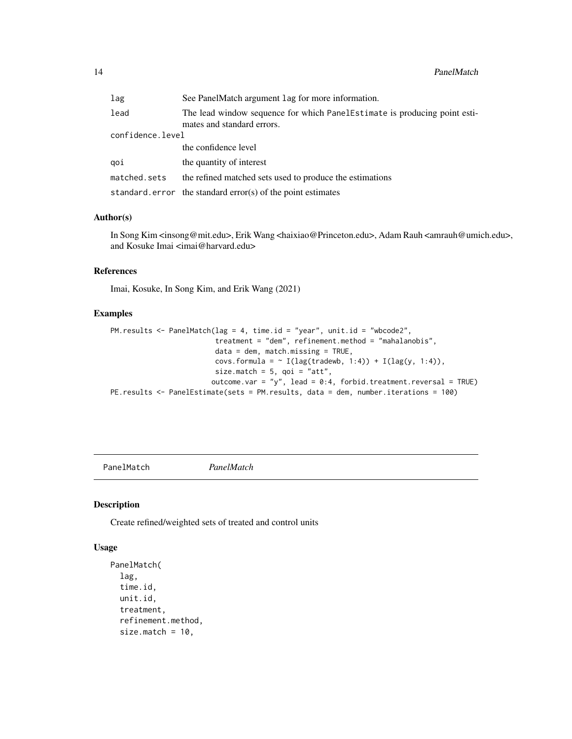<span id="page-13-0"></span>

| lag              | See PanelMatch argument lag for more information.                                                        |  |
|------------------|----------------------------------------------------------------------------------------------------------|--|
| lead             | The lead window sequence for which Panel Estimate is producing point esti-<br>mates and standard errors. |  |
| confidence.level |                                                                                                          |  |
|                  | the confidence level                                                                                     |  |
| aoi              | the quantity of interest                                                                                 |  |
| matched.sets     | the refined matched sets used to produce the estimations                                                 |  |
|                  | standard. $error$ the standard $error(s)$ of the point estimates                                         |  |

#### Author(s)

In Song Kim <insong@mit.edu>, Erik Wang <haixiao@Princeton.edu>, Adam Rauh <amrauh@umich.edu>, and Kosuke Imai <imai@harvard.edu>

#### References

Imai, Kosuke, In Song Kim, and Erik Wang (2021)

#### Examples

```
PM.results <- PanelMatch(lag = 4, time.id = "year", unit.id = "wbcode2",
                         treatment = "dem", refinement.method = "mahalanobis",
                         data = dem, match.missing = TRUE,
                         covs.formula = \sim I(lag(tradewb, 1:4)) + I(lag(y, 1:4)),
                         size.match = 5, qoi = "att",
                        outcome.var = "y", lead = 0:4, forbid.treatment.reversal = TRUE)
PE.results <- PanelEstimate(sets = PM.results, data = dem, number.iterations = 100)
```
PanelMatch *PanelMatch*

#### Description

Create refined/weighted sets of treated and control units

#### Usage

```
PanelMatch(
  lag,
  time.id,
  unit.id,
  treatment,
  refinement.method,
  size.match = 10,
```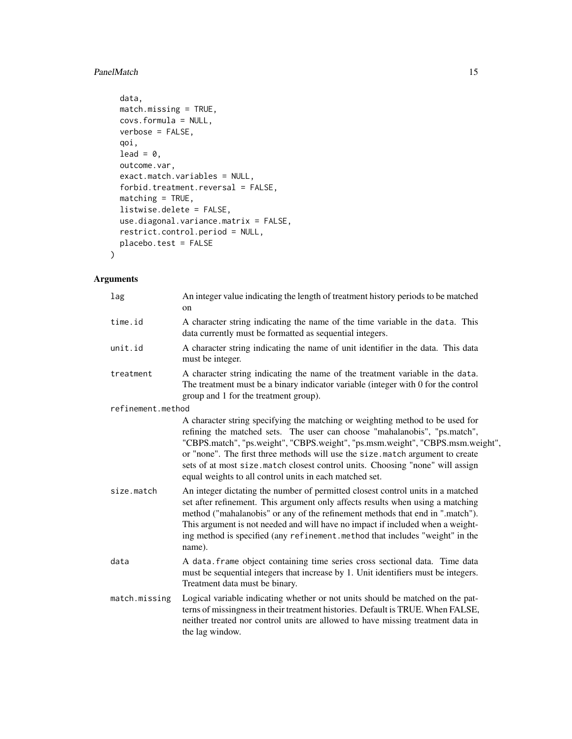#### PanelMatch 15

```
data,
match.missing = TRUE,
covs.formula = NULL,
verbose = FALSE,
qoi,
lead = 0,outcome.var,
exact.match.variables = NULL,
forbid.treatment.reversal = FALSE,
matching = TRUE,
listwise.delete = FALSE,
use.diagonal.variance.matrix = FALSE,
restrict.control.period = NULL,
placebo.test = FALSE
```
#### Arguments

)

| lag               | An integer value indicating the length of treatment history periods to be matched<br>on                                                                                                                                                                                                                                                                                                                                                                                  |
|-------------------|--------------------------------------------------------------------------------------------------------------------------------------------------------------------------------------------------------------------------------------------------------------------------------------------------------------------------------------------------------------------------------------------------------------------------------------------------------------------------|
| time.id           | A character string indicating the name of the time variable in the data. This<br>data currently must be formatted as sequential integers.                                                                                                                                                                                                                                                                                                                                |
| unit.id           | A character string indicating the name of unit identifier in the data. This data<br>must be integer.                                                                                                                                                                                                                                                                                                                                                                     |
| treatment         | A character string indicating the name of the treatment variable in the data.<br>The treatment must be a binary indicator variable (integer with 0 for the control<br>group and 1 for the treatment group).                                                                                                                                                                                                                                                              |
| refinement.method |                                                                                                                                                                                                                                                                                                                                                                                                                                                                          |
|                   | A character string specifying the matching or weighting method to be used for<br>refining the matched sets. The user can choose "mahalanobis", "ps.match",<br>"CBPS.match", "ps.weight", "CBPS.weight", "ps.msm.weight", "CBPS.msm.weight",<br>or "none". The first three methods will use the size match argument to create<br>sets of at most size.match closest control units. Choosing "none" will assign<br>equal weights to all control units in each matched set. |
| size.match        | An integer dictating the number of permitted closest control units in a matched<br>set after refinement. This argument only affects results when using a matching<br>method ("mahalanobis" or any of the refinement methods that end in ".match").<br>This argument is not needed and will have no impact if included when a weight-<br>ing method is specified (any refinement.method that includes "weight" in the<br>name).                                           |
| data              | A data. frame object containing time series cross sectional data. Time data<br>must be sequential integers that increase by 1. Unit identifiers must be integers.<br>Treatment data must be binary.                                                                                                                                                                                                                                                                      |
| match.missing     | Logical variable indicating whether or not units should be matched on the pat-<br>terns of missingness in their treatment histories. Default is TRUE. When FALSE,<br>neither treated nor control units are allowed to have missing treatment data in<br>the lag window.                                                                                                                                                                                                  |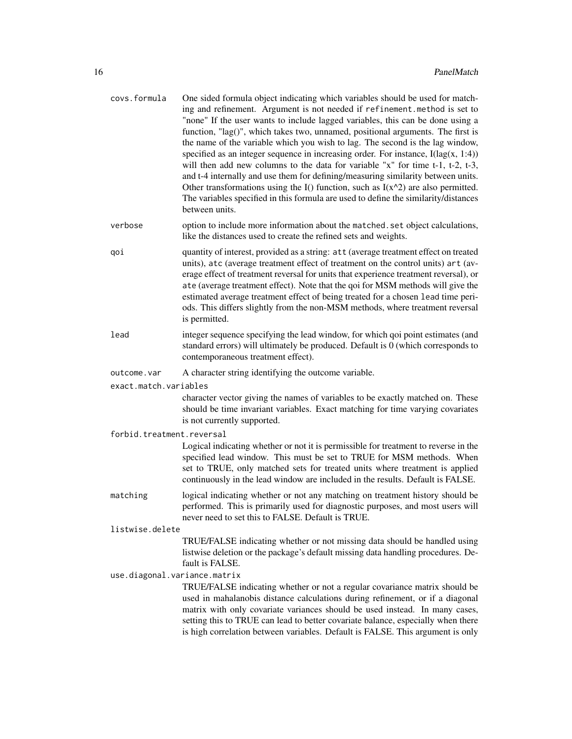| covs.formula                 | One sided formula object indicating which variables should be used for match-<br>ing and refinement. Argument is not needed if refinement.method is set to<br>"none" If the user wants to include lagged variables, this can be done using a<br>function, "lag()", which takes two, unnamed, positional arguments. The first is<br>the name of the variable which you wish to lag. The second is the lag window,<br>specified as an integer sequence in increasing order. For instance, $I(lag(x, 1:4))$<br>will then add new columns to the data for variable "x" for time t-1, t-2, t-3,<br>and t-4 internally and use them for defining/measuring similarity between units.<br>Other transformations using the I() function, such as $I(x^2)$ are also permitted.<br>The variables specified in this formula are used to define the similarity/distances<br>between units. |
|------------------------------|-------------------------------------------------------------------------------------------------------------------------------------------------------------------------------------------------------------------------------------------------------------------------------------------------------------------------------------------------------------------------------------------------------------------------------------------------------------------------------------------------------------------------------------------------------------------------------------------------------------------------------------------------------------------------------------------------------------------------------------------------------------------------------------------------------------------------------------------------------------------------------|
| verbose                      | option to include more information about the matched. set object calculations,<br>like the distances used to create the refined sets and weights.                                                                                                                                                                                                                                                                                                                                                                                                                                                                                                                                                                                                                                                                                                                             |
| qoi                          | quantity of interest, provided as a string: att (average treatment effect on treated<br>units), atc (average treatment effect of treatment on the control units) art (av-<br>erage effect of treatment reversal for units that experience treatment reversal), or<br>ate (average treatment effect). Note that the qoi for MSM methods will give the<br>estimated average treatment effect of being treated for a chosen lead time peri-<br>ods. This differs slightly from the non-MSM methods, where treatment reversal<br>is permitted.                                                                                                                                                                                                                                                                                                                                    |
| lead                         | integer sequence specifying the lead window, for which qoi point estimates (and<br>standard errors) will ultimately be produced. Default is 0 (which corresponds to<br>contemporaneous treatment effect).                                                                                                                                                                                                                                                                                                                                                                                                                                                                                                                                                                                                                                                                     |
| outcome.var                  | A character string identifying the outcome variable.                                                                                                                                                                                                                                                                                                                                                                                                                                                                                                                                                                                                                                                                                                                                                                                                                          |
| exact.match.variables        |                                                                                                                                                                                                                                                                                                                                                                                                                                                                                                                                                                                                                                                                                                                                                                                                                                                                               |
|                              | character vector giving the names of variables to be exactly matched on. These<br>should be time invariant variables. Exact matching for time varying covariates<br>is not currently supported.                                                                                                                                                                                                                                                                                                                                                                                                                                                                                                                                                                                                                                                                               |
| forbid.treatment.reversal    |                                                                                                                                                                                                                                                                                                                                                                                                                                                                                                                                                                                                                                                                                                                                                                                                                                                                               |
|                              | Logical indicating whether or not it is permissible for treatment to reverse in the<br>specified lead window. This must be set to TRUE for MSM methods. When<br>set to TRUE, only matched sets for treated units where treatment is applied<br>continuously in the lead window are included in the results. Default is FALSE.                                                                                                                                                                                                                                                                                                                                                                                                                                                                                                                                                 |
| matching                     | logical indicating whether or not any matching on treatment history should be<br>performed. This is primarily used for diagnostic purposes, and most users will<br>never need to set this to FALSE. Default is TRUE.                                                                                                                                                                                                                                                                                                                                                                                                                                                                                                                                                                                                                                                          |
| listwise.delete              |                                                                                                                                                                                                                                                                                                                                                                                                                                                                                                                                                                                                                                                                                                                                                                                                                                                                               |
|                              | TRUE/FALSE indicating whether or not missing data should be handled using<br>listwise deletion or the package's default missing data handling procedures. De-<br>fault is FALSE.                                                                                                                                                                                                                                                                                                                                                                                                                                                                                                                                                                                                                                                                                              |
| use.diagonal.variance.matrix |                                                                                                                                                                                                                                                                                                                                                                                                                                                                                                                                                                                                                                                                                                                                                                                                                                                                               |
|                              | TRUE/FALSE indicating whether or not a regular covariance matrix should be<br>used in mahalanobis distance calculations during refinement, or if a diagonal<br>matrix with only covariate variances should be used instead. In many cases,<br>setting this to TRUE can lead to better covariate balance, especially when there<br>is high correlation between variables. Default is FALSE. This argument is only                                                                                                                                                                                                                                                                                                                                                                                                                                                              |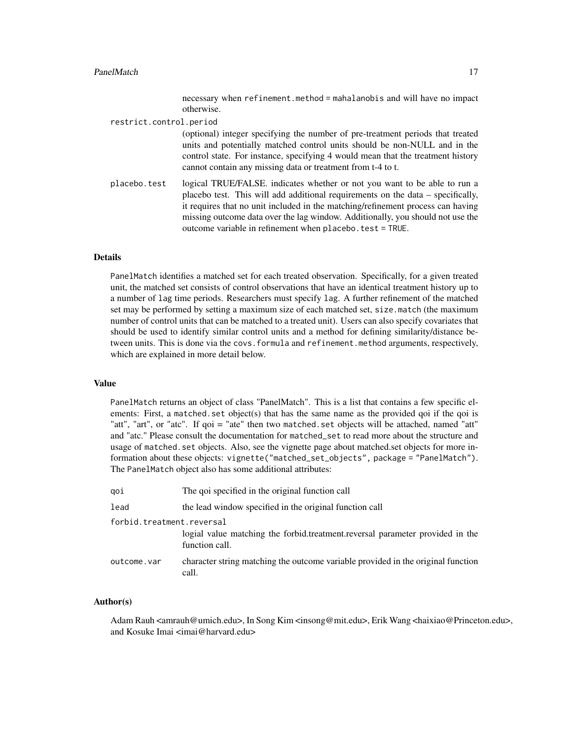#### PanelMatch 17

necessary when refinement.method = mahalanobis and will have no impact otherwise.

restrict.control.period

(optional) integer specifying the number of pre-treatment periods that treated units and potentially matched control units should be non-NULL and in the control state. For instance, specifying 4 would mean that the treatment history cannot contain any missing data or treatment from t-4 to t.

placebo.test logical TRUE/FALSE. indicates whether or not you want to be able to run a placebo test. This will add additional requirements on the data – specifically, it requires that no unit included in the matching/refinement process can having missing outcome data over the lag window. Additionally, you should not use the outcome variable in refinement when placebo.test = TRUE.

#### Details

PanelMatch identifies a matched set for each treated observation. Specifically, for a given treated unit, the matched set consists of control observations that have an identical treatment history up to a number of lag time periods. Researchers must specify lag. A further refinement of the matched set may be performed by setting a maximum size of each matched set, size.match (the maximum number of control units that can be matched to a treated unit). Users can also specify covariates that should be used to identify similar control units and a method for defining similarity/distance between units. This is done via the covs.formula and refinement.method arguments, respectively, which are explained in more detail below.

#### Value

PanelMatch returns an object of class "PanelMatch". This is a list that contains a few specific elements: First, a matched set object(s) that has the same name as the provided goi if the goi is "att", "art", or "atc". If qoi = "ate" then two matched.set objects will be attached, named "att" and "atc." Please consult the documentation for matched\_set to read more about the structure and usage of matched.set objects. Also, see the vignette page about matched.set objects for more information about these objects: vignette("matched\_set\_objects", package = "PanelMatch"). The PanelMatch object also has some additional attributes:

| qoi                       | The goi specified in the original function call                                                 |  |
|---------------------------|-------------------------------------------------------------------------------------------------|--|
| lead                      | the lead window specified in the original function call                                         |  |
| forbid.treatment.reversal |                                                                                                 |  |
|                           | logial value matching the forbid.treatment.reversal parameter provided in the<br>function call. |  |
| outcome.var               | character string matching the outcome variable provided in the original function<br>call.       |  |

#### Author(s)

Adam Rauh <amrauh@umich.edu>, In Song Kim <insong@mit.edu>, Erik Wang <haixiao@Princeton.edu>, and Kosuke Imai <imai@harvard.edu>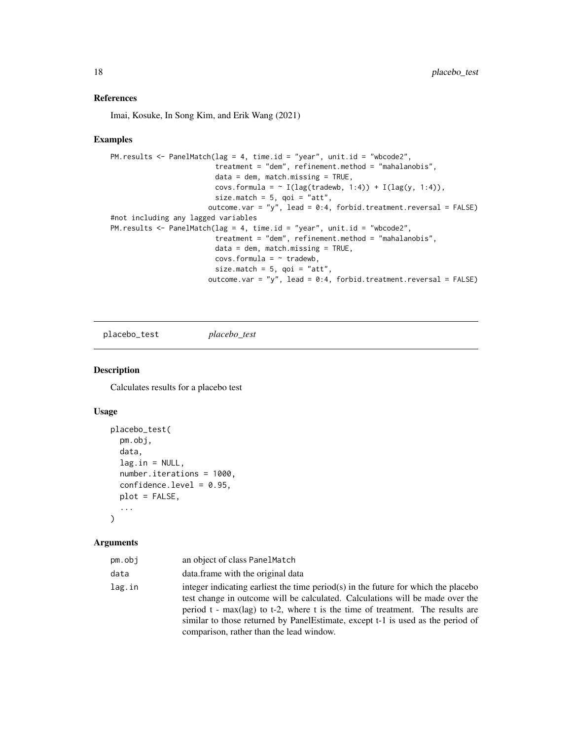#### <span id="page-17-0"></span>References

Imai, Kosuke, In Song Kim, and Erik Wang (2021)

#### Examples

```
PM.results <- PanelMatch(lag = 4, time.id = "year", unit.id = "wbcode2",
                        treatment = "dem", refinement.method = "mahalanobis",
                        data = dem, match.missing = TRUE,covs.formula = \sim I(lag(tradewb, 1:4)) + I(lag(y, 1:4)),
                         size.match = 5, qoi = "att",
                       outcome.var = "y", lead = 0:4, forbid.treatment.reversal = FALSE)
#not including any lagged variables
PM.results <- PanelMatch(lag = 4, time.id = "year", unit.id = "wbcode2",
                         treatment = "dem", refinement.method = "mahalanobis",
                         data = dem, match.missing = TRUE,covs.formula = ~ tradewb,size.match = 5, qoi = "att",
                       outcome.var = "y", lead = 0:4, forbid.treatment.reversal = FALSE)
```
placebo\_test *placebo\_test*

#### Description

Calculates results for a placebo test

#### Usage

```
placebo_test(
  pm.obj,
  data,
  lag.in = NULL,number.iterations = 1000,
  confidence.level = 0.95,
  plot = FALSE,
  ...
\mathcal{L}
```
#### Arguments

| pm.obj | an object of class PanelMatch                                                                                                                                                                                                                                                                                                                                                          |
|--------|----------------------------------------------------------------------------------------------------------------------------------------------------------------------------------------------------------------------------------------------------------------------------------------------------------------------------------------------------------------------------------------|
| data   | data.frame with the original data                                                                                                                                                                                                                                                                                                                                                      |
| lag.in | integer indicating earliest the time period(s) in the future for which the placebo<br>test change in outcome will be calculated. Calculations will be made over the<br>period t - $max($ lag) to t-2, where t is the time of treatment. The results are<br>similar to those returned by PanelEstimate, except t-1 is used as the period of<br>comparison, rather than the lead window. |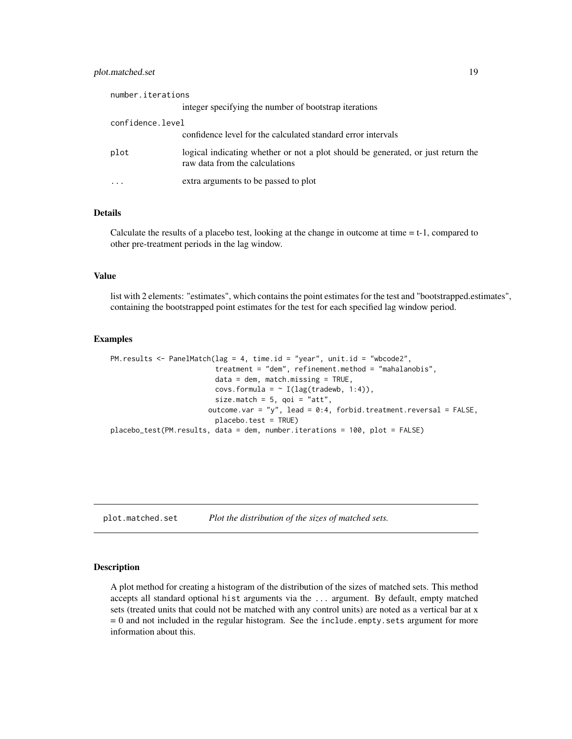#### <span id="page-18-0"></span>plot.matched.set 19

| number.iterations |                                                                                                                    |
|-------------------|--------------------------------------------------------------------------------------------------------------------|
|                   | integer specifying the number of bootstrap iterations                                                              |
| confidence.level  |                                                                                                                    |
|                   | confidence level for the calculated standard error intervals                                                       |
| plot              | logical indicating whether or not a plot should be generated, or just return the<br>raw data from the calculations |
|                   | extra arguments to be passed to plot                                                                               |

#### Details

Calculate the results of a placebo test, looking at the change in outcome at time = t-1, compared to other pre-treatment periods in the lag window.

#### Value

list with 2 elements: "estimates", which contains the point estimates for the test and "bootstrapped.estimates", containing the bootstrapped point estimates for the test for each specified lag window period.

#### Examples

```
PM.results <- PanelMatch(lag = 4, time.id = "year", unit.id = "wbcode2",
                         treatment = "dem", refinement.method = "mahalanobis",
                         data = dem, match.missing = TRUE,
                         covs.formula = \sim I(lag(tradewb, 1:4)),
                         size.match = 5, qoi = "att",
                       outcome.var = "y", lead = 0:4, forbid.treatment.reversal = FALSE,
                         placebo.test = TRUE)
placebo_test(PM.results, data = dem, number.iterations = 100, plot = FALSE)
```
plot.matched.set *Plot the distribution of the sizes of matched sets.*

#### Description

A plot method for creating a histogram of the distribution of the sizes of matched sets. This method accepts all standard optional hist arguments via the ... argument. By default, empty matched sets (treated units that could not be matched with any control units) are noted as a vertical bar at x = 0 and not included in the regular histogram. See the include.empty.sets argument for more information about this.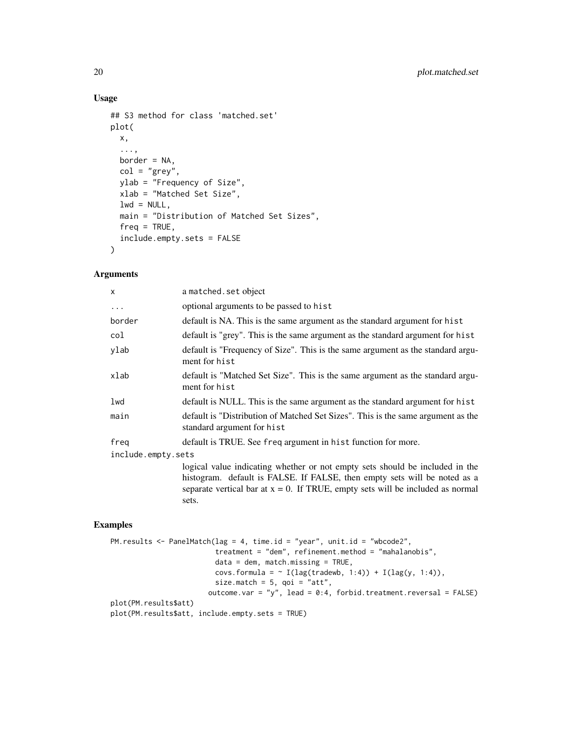#### Usage

```
## S3 method for class 'matched.set'
plot(
 x,
  ...,
 border = NA,
  col = "grey",ylab = "Frequency of Size",
  xlab = "Matched Set Size",
 lwd = NULL,main = "Distribution of Matched Set Sizes",
 freq = TRUE,
  include.empty.sets = FALSE
\mathcal{L}
```
#### Arguments

| X                  | a matched. set object                                                                                                                                     |  |
|--------------------|-----------------------------------------------------------------------------------------------------------------------------------------------------------|--|
| $\ddots$ .         | optional arguments to be passed to hist                                                                                                                   |  |
| border             | default is NA. This is the same argument as the standard argument for hist                                                                                |  |
| col                | default is "grey". This is the same argument as the standard argument for hist                                                                            |  |
| ylab               | default is "Frequency of Size". This is the same argument as the standard argu-<br>ment for hist                                                          |  |
| xlab               | default is "Matched Set Size". This is the same argument as the standard argu-<br>ment for hist                                                           |  |
| lwd                | default is NULL. This is the same argument as the standard argument for hist                                                                              |  |
| main               | default is "Distribution of Matched Set Sizes". This is the same argument as the<br>standard argument for hist                                            |  |
| freg               | default is TRUE. See freq argument in hist function for more.                                                                                             |  |
| include.empty.sets |                                                                                                                                                           |  |
|                    | logical value indicating whether or not empty sets should be included in the<br>histogram. default is FALSE. If FALSE, then empty sets will be noted as a |  |

separate vertical bar at  $x = 0$ . If TRUE, empty sets will be included as normal sets.

```
PM.results <- PanelMatch(lag = 4, time.id = "year", unit.id = "wbcode2",
                         treatment = "dem", refinement.method = "mahalanobis",
                        data = dem, match.missing = TRUE,
                        covs.formula = \sim I(lag(tradewb, 1:4)) + I(lag(y, 1:4)),
                        size.match = 5, qoi = "att",
                       outcome.var = "y", lead = 0:4, forbid.treatment.reversal = FALSE)
plot(PM.results$att)
plot(PM.results$att, include.empty.sets = TRUE)
```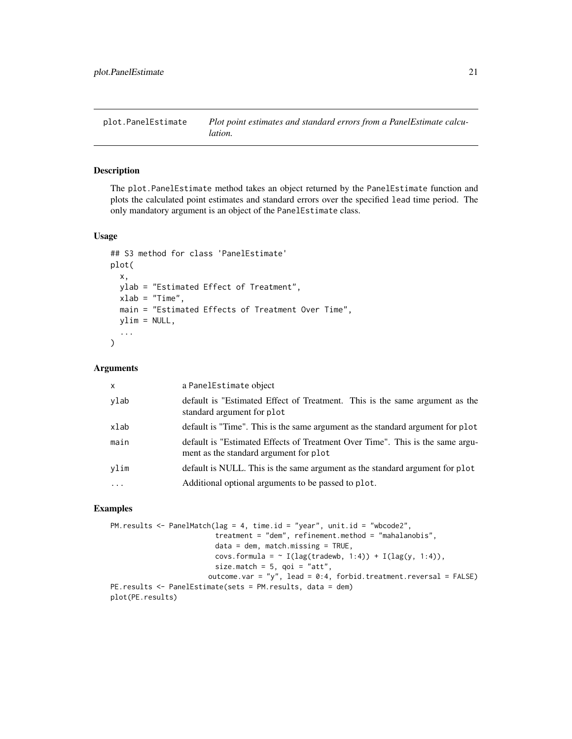<span id="page-20-0"></span>plot.PanelEstimate *Plot point estimates and standard errors from a PanelEstimate calculation.*

#### Description

The plot. PanelEstimate method takes an object returned by the PanelEstimate function and plots the calculated point estimates and standard errors over the specified lead time period. The only mandatory argument is an object of the PanelEstimate class.

#### Usage

```
## S3 method for class 'PanelEstimate'
plot(
  x,
 ylab = "Estimated Effect of Treatment",
 xlab = "Time",
 main = "Estimated Effects of Treatment Over Time",
 ylim = NULL,
  ...
)
```
#### Arguments

| X        | a PanelEstimate object                                                                                                  |
|----------|-------------------------------------------------------------------------------------------------------------------------|
| ylab     | default is "Estimated Effect of Treatment. This is the same argument as the<br>standard argument for plot               |
| xlab     | default is "Time". This is the same argument as the standard argument for plot                                          |
| main     | default is "Estimated Effects of Treatment Over Time". This is the same argu-<br>ment as the standard argument for plot |
| vlim     | default is NULL. This is the same argument as the standard argument for plot                                            |
| $\cdots$ | Additional optional arguments to be passed to plot.                                                                     |
|          |                                                                                                                         |

```
PM.results <- PanelMatch(lag = 4, time.id = "year", unit.id = "wbcode2",
                         treatment = "dem", refinement.method = "mahalanobis",
                         data = dem, match.missing = TRUE,
                         covs.formula = \sim I(lag(tradewb, 1:4)) + I(lag(y, 1:4)),
                         size.match = 5, qoi = "att",
                       outcome.var = "y", lead = 0:4, forbid.treatment.reversal = FALSE)
PE.results <- PanelEstimate(sets = PM.results, data = dem)
plot(PE.results)
```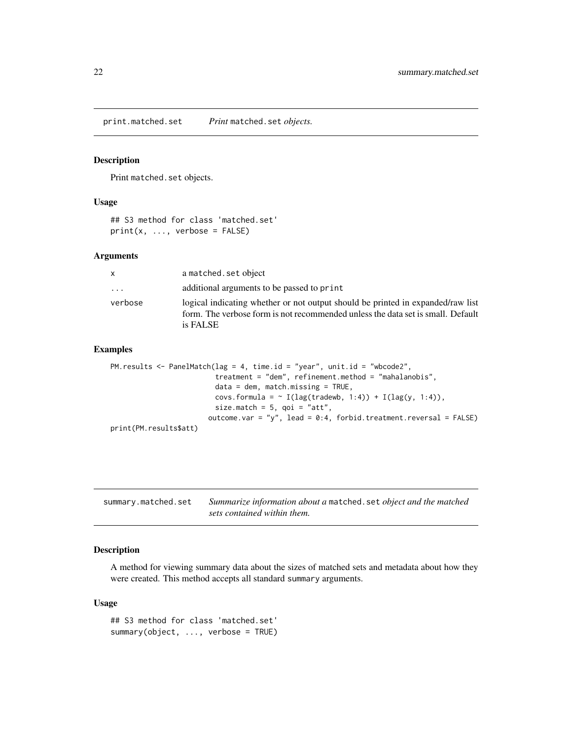<span id="page-21-0"></span>print.matched.set *Print* matched.set *objects.*

#### Description

Print matched.set objects.

#### Usage

```
## S3 method for class 'matched.set'
print(x, ..., verbose = FALSE)
```
#### Arguments

| X       | a matched. set object                                                                                                                                                          |
|---------|--------------------------------------------------------------------------------------------------------------------------------------------------------------------------------|
| .       | additional arguments to be passed to print                                                                                                                                     |
| verbose | logical indicating whether or not output should be printed in expanded/raw list<br>form. The verbose form is not recommended unless the data set is small. Default<br>is FALSE |

#### Examples

```
PM.results <- PanelMatch(lag = 4, time.id = "year", unit.id = "wbcode2",
                         treatment = "dem", refinement.method = "mahalanobis",
                         data = dem, match.missing = TRUE,
                         covs.formula = \sim I(lag(tradewb, 1:4)) + I(lag(y, 1:4)),
                         size.match = 5, qoi = "att",
                       outcome.var = "y", lead = 0:4, forbid.treatment.reversal = FALSE)
print(PM.results$att)
```

| summary.matched.set | Summarize information about a matched. set object and the matched |
|---------------------|-------------------------------------------------------------------|
|                     | sets contained within them.                                       |

#### Description

A method for viewing summary data about the sizes of matched sets and metadata about how they were created. This method accepts all standard summary arguments.

#### Usage

## S3 method for class 'matched.set' summary(object, ..., verbose = TRUE)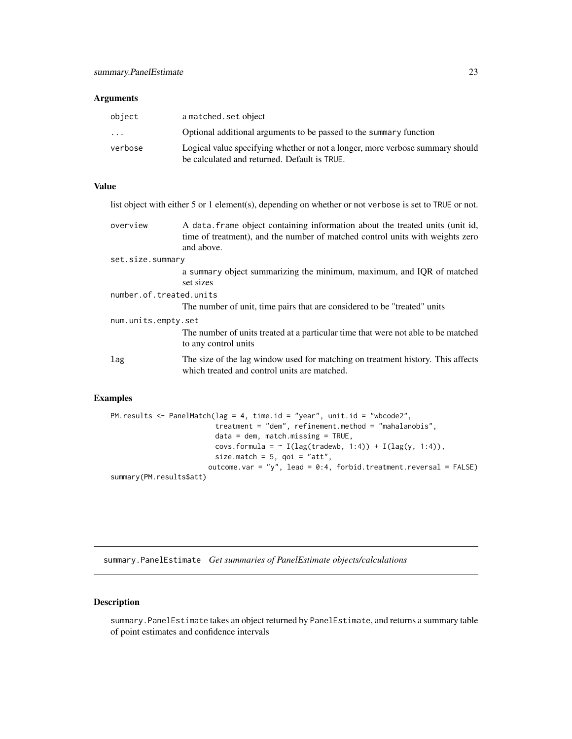#### <span id="page-22-0"></span>**Arguments**

| object                  | a matched. set object                                                         |
|-------------------------|-------------------------------------------------------------------------------|
| $\cdot$ $\cdot$ $\cdot$ | Optional additional arguments to be passed to the summary function            |
| verbose                 | Logical value specifying whether or not a longer, more verbose summary should |
|                         | be calculated and returned. Default is TRUE.                                  |

#### Value

list object with either 5 or 1 element(s), depending on whether or not verbose is set to TRUE or not. overview A data.frame object containing information about the treated units (unit id, time of treatment), and the number of matched control units with weights zero and above. set.size.summary a summary object summarizing the minimum, maximum, and IQR of matched set sizes number.of.treated.units The number of unit, time pairs that are considered to be "treated" units num.units.empty.set The number of units treated at a particular time that were not able to be matched to any control units lag The size of the lag window used for matching on treatment history. This affects which treated and control units are matched.

#### Examples

```
PM.results <- PanelMatch(lag = 4, time.id = "year", unit.id = "wbcode2",
                         treatment = "dem", refinement.method = "mahalanobis",
                         data = dem, match.missing = TRUE,
                         covs.formula = \sim I(lag(tradewb, 1:4)) + I(lag(y, 1:4)),
                         size.match = 5, qoi = "att",
                       outcome.var = "y", lead = 0:4, forbid.treatment.reversal = FALSE)
summary(PM.results$att)
```
summary.PanelEstimate *Get summaries of PanelEstimate objects/calculations*

#### **Description**

summary.PanelEstimate takes an object returned by PanelEstimate, and returns a summary table of point estimates and confidence intervals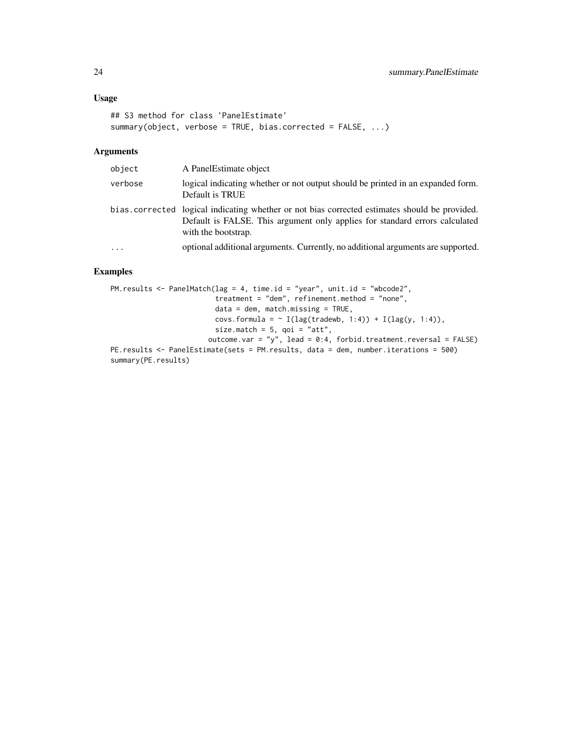#### Usage

```
## S3 method for class 'PanelEstimate'
summary(object, verbose = TRUE, bias.corrected = FALSE, ...)
```
#### Arguments

| object   | A Panel Estimate object                                                                                                                                                                             |
|----------|-----------------------------------------------------------------------------------------------------------------------------------------------------------------------------------------------------|
| verbose  | logical indicating whether or not output should be printed in an expanded form.<br>Default is TRUE                                                                                                  |
|          | bias corrected logical indicating whether or not bias corrected estimates should be provided.<br>Default is FALSE. This argument only applies for standard errors calculated<br>with the bootstrap. |
| $\ddots$ | optional additional arguments. Currently, no additional arguments are supported.                                                                                                                    |

```
PM.results <- PanelMatch(lag = 4, time.id = "year", unit.id = "wbcode2",
                         treatment = "dem", refinement.method = "none",
                         data = dem, match.missing = TRUE,
                         covs.formula = \sim I(lag(tradewb, 1:4)) + I(lag(y, 1:4)),
                         size.match = 5, qoi = "att",
                        outcome.var = "y", lead = 0:4, forbid.treatment.reversal = FALSE)
PE.results <- PanelEstimate(sets = PM.results, data = dem, number.iterations = 500)
summary(PE.results)
```